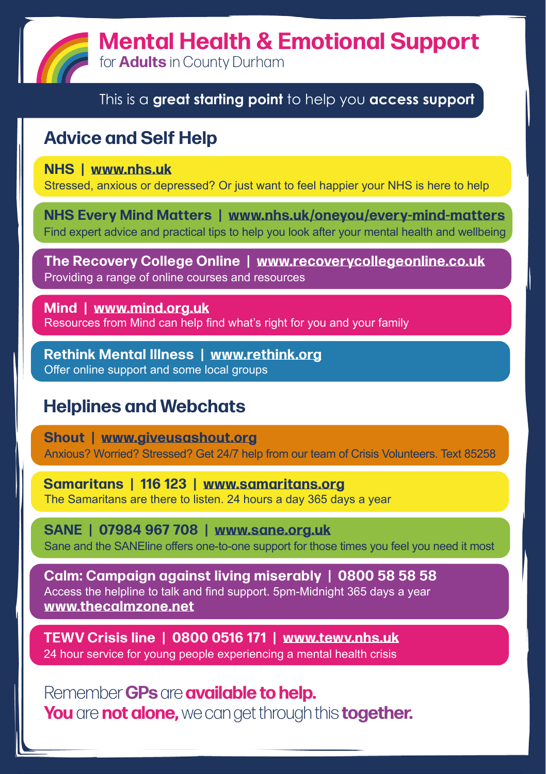**Mental Health & Emotional Support**

for **Adults** in County Durham

#### This is a **great starting point** to help you **access support**

## **Advice and Self Help**

**NHS | [www.nhs.uk](http://www.nhs.uk)**

Stressed, anxious or depressed? Or just want to feel happier your NHS is here to help

**NHS Every Mind Matters | [www.nhs.uk/oneyou/every-mind-matters](http://www.nhs.uk/oneyou/every-mind-matters)** Find expert advice and practical tips to help you look after your mental health and wellbeing

**The Recovery College Online | [www.recoverycollegeonline.co.uk](http://www.recoverycollegeonline.co.uk)** Providing a range of online courses and resources

**Mind | [www.mind.org.uk](http://www.mind.org.uk)** Resources from Mind can help find what's right for you and your family

**Rethink Mental Illness | [www.rethink.org](http://www.rethink.org)** Offer online support and some local groups

## **Helplines and Webchats**

**Shout | [www.giveusashout.org](http://www.giveusashout.org)** Anxious? Worried? Stressed? Get 24/7 help from our team of Crisis Volunteers. Text 85258

**Samaritans | 116 123 | [www.samaritans.org](http://www.samaritans.org)** The Samaritans are there to listen. 24 hours a day 365 days a year

**SANE | 0 7 9 8 4 9 6 7 7 0 8 | [www.sane.org.uk](http://www.sane.org.uk)** Sane and the SANEline offers one-to-one support for those times you feel you need it most

**Calm: Campaign against living miserably | 0800 58 58 58** Access the helpline to talk and find support. 5pm-Midnight 365 days a year **[www.thecalmzone.net](http://www.thecalmzone.net)**

**TEWV Crisis line | 0 8 0 0 0 5 1 6 1 7 1 | [www.tewv.nhs.uk](http://www.tewv.nhs.uk)** 24 hour service for young people experiencing a mental health crisis

Remember **GPs** are **available to help. You** are **not alone,**we can get through this **together.**